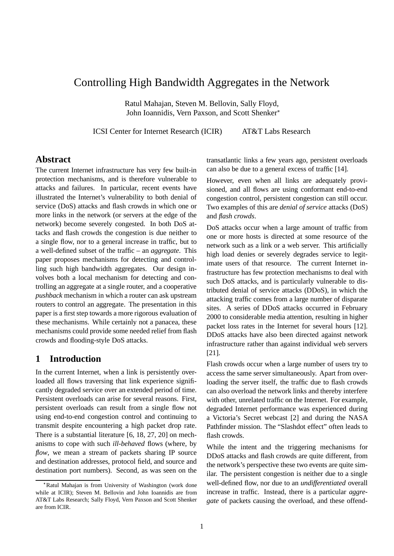# Controlling High Bandwidth Aggregates in the Network

Ratul Mahajan, Steven M. Bellovin, Sally Floyd, John Ioannidis, Vern Paxson, and Scott Shenker

ICSI Center for Internet Research (ICIR) AT&T Labs Research

# **Abstract**

The current Internet infrastructure has very few built-in protection mechanisms, and is therefore vulnerable to attacks and failures. In particular, recent events have illustrated the Internet's vulnerability to both denial of service (DoS) attacks and flash crowds in which one or more links in the network (or servers at the edge of the network) become severely congested. In both DoS attacks and flash crowds the congestion is due neither to a single flow, nor to a general increase in traffic, but to a well-defined subset of the traffic – an *aggregate*. This paper proposes mechanisms for detecting and controlling such high bandwidth aggregates. Our design involves both a local mechanism for detecting and controlling an aggregate at a single router, and a cooperative *pushback* mechanism in which a router can ask upstream routers to control an aggregate. The presentation in this paper is a first step towards a more rigorous evaluation of these mechanisms. While certainly not a panacea, these mechanisms could provide some needed relief from flash crowds and flooding-style DoS attacks.

# **1 Introduction**

In the current Internet, when a link is persistently overloaded all flows traversing that link experience significantly degraded service over an extended period of time. Persistent overloads can arise for several reasons. First, persistent overloads can result from a single flow not using end-to-end congestion control and continuing to transmit despite encountering a high packet drop rate. There is a substantial literature [6, 18, 27, 20] on mechanisms to cope with such *ill-behaved* flows (where, by *flow*, we mean a stream of packets sharing IP source and destination addresses, protocol field, and source and destination port numbers). Second, as was seen on the transatlantic links a few years ago, persistent overloads can also be due to a general excess of traffic [14].

However, even when all links are adequately provisioned, and all flows are using conformant end-to-end congestion control, persistent congestion can still occur. Two examples of this are *denial of service* attacks (DoS) and *flash crowds*.

DoS attacks occur when a large amount of traffic from one or more hosts is directed at some resource of the network such as a link or a web server. This artificially high load denies or severely degrades service to legitimate users of that resource. The current Internet infrastructure has few protection mechanisms to deal with such DoS attacks, and is particularly vulnerable to distributed denial of service attacks (DDoS), in which the attacking traffic comes from a large number of disparate sites. A series of DDoS attacks occurred in February 2000 to considerable media attention, resulting in higher packet loss rates in the Internet for several hours [12]. DDoS attacks have also been directed against network infrastructure rather than against individual web servers [21].

Flash crowds occur when a large number of users try to access the same server simultaneously. Apart from overloading the server itself, the traffic due to flash crowds can also overload the network links and thereby interfere with other, unrelated traffic on the Internet. For example, degraded Internet performance was experienced during a Victoria's Secret webcast [2] and during the NASA Pathfinder mission. The "Slashdot effect" often leads to flash crowds.

While the intent and the triggering mechanisms for DDoS attacks and flash crowds are quite different, from the network's perspective these two events are quite similar. The persistent congestion is neither due to a single well-defined flow, nor due to an *undifferentiated* overall increase in traffic. Instead, there is a particular *aggregate* of packets causing the overload, and these offend-

Ratul Mahajan is from University of Washington (work done while at ICIR); Steven M. Bellovin and John Ioannidis are from AT&T Labs Research; Sally Floyd, Vern Paxson and Scott Shenker are from ICIR.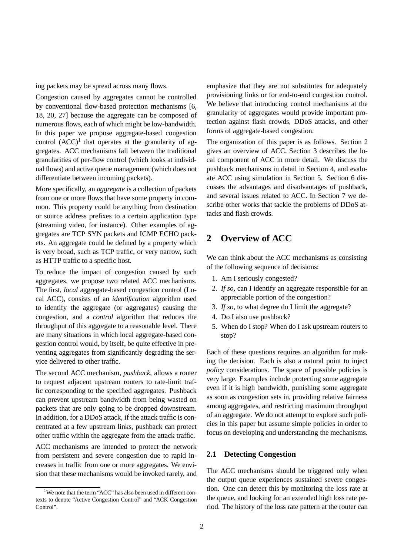ing packets may be spread across many flows.

Congestion caused by aggregates cannot be controlled by conventional flow-based protection mechanisms [6, 18, 20, 27] because the aggregate can be composed of numerous flows, each of which might be low-bandwidth. In this paper we propose aggregate-based congestion control  $(ACC)^1$  that operates at the granularity of aggregates. ACC mechanisms fall between the traditional granularities of per-flow control (which looks at individual flows) and active queue management (which does not differentiate between incoming packets).

More specifically, an *aggregate* is a collection of packets from one or more flows that have some property in common. This property could be anything from destination or source address prefixes to a certain application type (streaming video, for instance). Other examples of aggregates are TCP SYN packets and ICMP ECHO packets. An aggregate could be defined by a property which is very broad, such as TCP traffic, or very narrow, such as HTTP traffic to a specific host.

To reduce the impact of congestion caused by such aggregates, we propose two related ACC mechanisms. The first, *local* aggregate-based congestion control (Local ACC), consists of an *identification* algorithm used to identify the aggregate (or aggregates) causing the congestion, and a *control* algorithm that reduces the throughput of this aggregate to a reasonable level. There are many situations in which local aggregate-based congestion control would, by itself, be quite effective in preventing aggregates from significantly degrading the service delivered to other traffic.

The second ACC mechanism, *pushback*, allows a router to request adjacent upstream routers to rate-limit traffic corresponding to the specified aggregates. Pushback can prevent upstream bandwidth from being wasted on packets that are only going to be dropped downstream. In addition, for a DDoS attack, if the attack traffic is concentrated at a few upstream links, pushback can protect other traffic within the aggregate from the attack traffic.

ACC mechanisms are intended to protect the network from persistent and severe congestion due to rapid increases in traffic from one or more aggregates. We envision that these mechanisms would be invoked rarely, and emphasize that they are not substitutes for adequately provisioning links or for end-to-end congestion control. We believe that introducing control mechanisms at the granularity of aggregates would provide important protection against flash crowds, DDoS attacks, and other forms of aggregate-based congestion.

The organization of this paper is as follows. Section 2 gives an overview of ACC. Section 3 describes the local component of ACC in more detail. We discuss the pushback mechanisms in detail in Section 4, and evaluate ACC using simulation in Section 5. Section 6 discusses the advantages and disadvantages of pushback, and several issues related to ACC. In Section 7 we describe other works that tackle the problems of DDoS attacks and flash crowds.

# **2 Overview of ACC**

We can think about the ACC mechanisms as consisting of the following sequence of decisions:

- 1. Am I seriously congested?
- 2. *If so,* can I identify an aggregate responsible for an appreciable portion of the congestion?
- 3. *If so,* to what degree do I limit the aggregate?
- 4. Do I also use pushback?
- 5. When do I stop? When do I ask upstream routers to stop?

Each of these questions requires an algorithm for making the decision. Each is also a natural point to inject *policy* considerations. The space of possible policies is very large. Examples include protecting some aggregate even if it is high bandwidth, punishing some aggregate as soon as congestion sets in, providing relative fairness among aggregates, and restricting maximum throughput of an aggregate. We do not attempt to explore such policies in this paper but assume simple policies in order to focus on developing and understanding the mechanisms.

## **2.1 Detecting Congestion**

The ACC mechanisms should be triggered only when the output queue experiences sustained severe congestion. One can detect this by monitoring the loss rate at the queue, and looking for an extended high loss rate period. The history of the loss rate pattern at the router can

<sup>&</sup>lt;sup>1</sup>We note that the term "ACC" has also been used in different contexts to denote "Active Congestion Control" and "ACK Congestion Control".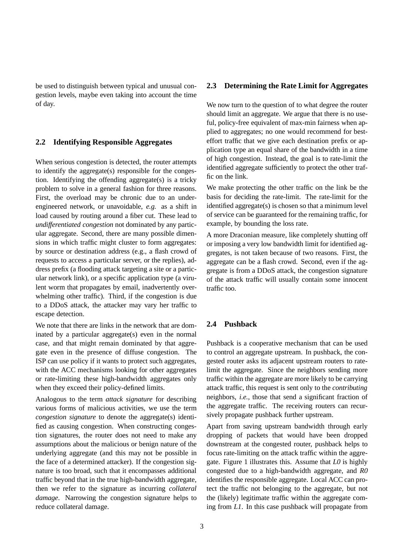be used to distinguish between typical and unusual congestion levels, maybe even taking into account the time of day.

## **2.2 Identifying Responsible Aggregates**

When serious congestion is detected, the router attempts to identify the aggregate(s) responsible for the congestion. Identifying the offending aggregate(s) is a tricky problem to solve in a general fashion for three reasons. First, the overload may be chronic due to an underengineered network, or unavoidable, *e.g.* as a shift in load caused by routing around a fiber cut. These lead to *undifferentiated congestion* not dominated by any particular aggregate. Second, there are many possible dimensions in which traffic might cluster to form aggregates: by source or destination address (e.g., a flash crowd of requests to access a particular server, or the replies), address prefix (a flooding attack targeting a site or a particular network link), or a specific application type (a virulent worm that propagates by email, inadvertently overwhelming other traffic). Third, if the congestion is due to a DDoS attack, the attacker may vary her traffic to escape detection.

We note that there are links in the network that are dominated by a particular aggregate(s) even in the normal case, and that might remain dominated by that aggregate even in the presence of diffuse congestion. The ISP can use policy if it wants to protect such aggregates, with the ACC mechanisms looking for other aggregates or rate-limiting these high-bandwidth aggregates only when they exceed their policy-defined limits.

Analogous to the term *attack signature* for describing various forms of malicious activities, we use the term *congestion signature* to denote the aggregate(s) identified as causing congestion. When constructing congestion signatures, the router does not need to make any assumptions about the malicious or benign nature of the underlying aggregate (and this may not be possible in the face of a determined attacker). If the congestion signature is too broad, such that it encompasses additional traffic beyond that in the true high-bandwidth aggregate, then we refer to the signature as incurring *collateral damage*. Narrowing the congestion signature helps to reduce collateral damage.

## **2.3 Determining the Rate Limit for Aggregates**

We now turn to the question of to what degree the router should limit an aggregate. We argue that there is no useful, policy-free equivalent of max-min fairness when applied to aggregates; no one would recommend for besteffort traffic that we give each destination prefix or application type an equal share of the bandwidth in a time of high congestion. Instead, the goal is to rate-limit the identified aggregate sufficiently to protect the other traffic on the link.

We make protecting the other traffic on the link be the basis for deciding the rate-limit. The rate-limit for the identified aggregate(s) is chosen so that a minimum level of service can be guaranteed for the remaining traffic, for example, by bounding the loss rate.

A more Draconian measure, like completely shutting off or imposing a very low bandwidth limit for identified aggregates, is not taken because of two reasons. First, the aggregate can be a flash crowd. Second, even if the aggregate is from a DDoS attack, the congestion signature of the attack traffic will usually contain some innocent traffic too.

#### **2.4 Pushback**

Pushback is a cooperative mechanism that can be used to control an aggregate upstream. In pushback, the congested router asks its adjacent upstream routers to ratelimit the aggregate. Since the neighbors sending more traffic within the aggregate are more likely to be carrying attack traffic, this request is sent only to the *contributing* neighbors, *i.e.,* those that send a significant fraction of the aggregate traffic. The receiving routers can recursively propagate pushback further upstream.

Apart from saving upstream bandwidth through early dropping of packets that would have been dropped downstream at the congested router, pushback helps to focus rate-limiting on the attack traffic within the aggregate. Figure 1 illustrates this. Assume that *L0* is highly congested due to a high-bandwidth aggregate, and *R0* identifies the responsible aggregate. Local ACC can protect the traffic not belonging to the aggregate, but not the (likely) legitimate traffic within the aggregate coming from *L1*. In this case pushback will propagate from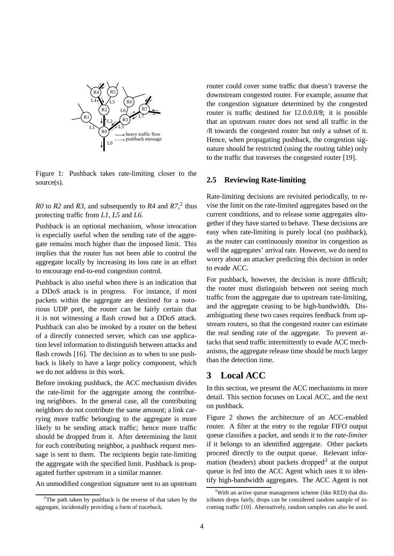

Figure 1: Pushback takes rate-limiting closer to the source(s).

*R0* to *R2* and *R3*, and subsequently to *R4* and  $R7$ <sup>2</sup>, thus protecting traffic from *L1*, *L5* and *L6*.

Pushback is an optional mechanism, whose invocation is especially useful when the sending rate of the aggregate remains much higher than the imposed limit. This implies that the router has not been able to control the aggregate locally by increasing its loss rate in an effort to encourage end-to-end congestion control.

Pushback is also useful when there is an indication that a DDoS attack is in progress. For instance, if most packets within the aggregate are destined for a notorious UDP port, the router can be fairly certain that it is not witnessing a flash crowd but a DDoS attack. Pushback can also be invoked by a router on the behest of a directly connected server, which can use application level information to distinguish between attacks and flash crowds [16]. The decision as to when to use pushback is likely to have a large policy component, which we do not address in this work.

Before invoking pushback, the ACC mechanism divides the rate-limit for the aggregate among the contributing neighbors. In the general case, all the contributing neighbors do not contribute the same amount; a link carrying more traffic belonging to the aggregate is more likely to be sending attack traffic; hence more traffic should be dropped from it. After determining the limit for each contributing neighbor, a pushback request message is sent to them. The recipients begin rate-limiting the aggregate with the specified limit. Pushback is propagated further upstream in a similar manner.

An unmodified congestion signature sent to an upstream

router could cover some traffic that doesn't traverse the downstream congested router. For example, assume that the congestion signature determined by the congested router is traffic destined for 12.0.0.0/8; it is possible that an upstream router does not send all traffic in the /8 towards the congested router but only a subset of it. Hence, when propagating pushback, the congestion signature should be restricted (using the routing table) only to the traffic that traverses the congested router [19].

#### **2.5 Reviewing Rate-limiting**

Rate-limiting decisions are revisited periodically, to revise the limit on the rate-limited aggregates based on the current conditions, and to release some aggregates altogether if they have started to behave. These decisions are easy when rate-limiting is purely local (no pushback), as the router can continuously monitor its congestion as well the aggregates' arrival rate. However, we do need to worry about an attacker predicting this decision in order to evade ACC.

For pushback, however, the decision is more difficult; the router must distinguish between not seeing much traffic from the aggregate due to upstream rate-limiting, and the aggregate ceasing to be high-bandwidth. Disambiguating these two cases requires feedback from upstream routers, so that the congested router can estimate the real sending rate of the aggregate. To prevent attacks that send traffic intermittently to evade ACC mechanisms, the aggregate release time should be much larger than the detection time.

# **3 Local ACC**

In this section, we present the ACC mechanisms in more detail. This section focuses on Local ACC, and the next on pushback.

Figure 2 shows the architecture of an ACC-enabled router. A filter at the entry to the regular FIFO output queue classifies a packet, and sends it to the *rate-limiter* if it belongs to an identified aggregate. Other packets proceed directly to the output queue. Relevant information (headers) about packets dropped<sup>3</sup> at the output queue is fed into the ACC Agent which uses it to identify high-bandwidth aggregates. The ACC Agent is not

 $2$ The path taken by pushback is the reverse of that taken by the aggregate, incidentally providing a form of traceback.

<sup>&</sup>lt;sup>3</sup>With an active queue management scheme (like RED) that distributes drops fairly, drops can be considered random sample of incoming traffic [10]. Alternatively, random samples can also be used.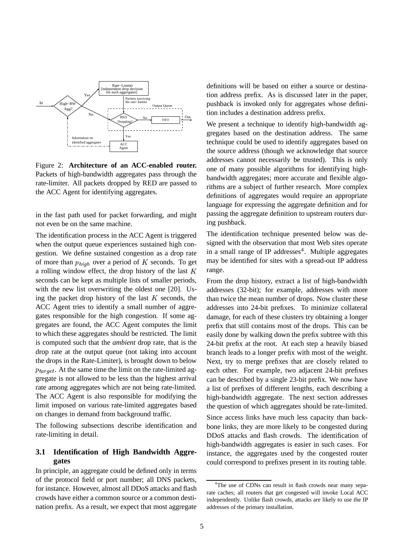

Figure 2: **Architecture of an ACC-enabled router.** Packets of high-bandwidth aggregates pass through the rate-limiter. All packets dropped by RED are passed to the ACC Agent for identifying aggregates.

in the fast path used for packet forwarding, and might not even be on the same machine.

The identification process in the ACC Agent is triggered when the output queue experiences sustained high congestion. We define sustained congestion as a drop rate of more than  $p_{high}$  over a period of K seconds. To get a rolling window effect, the drop history of the last  $K$ seconds can be kept as multiple lists of smaller periods, with the new list overwriting the oldest one [20]. Using the packet drop history of the last  $K$  seconds, the ACC Agent tries to identify a small number of aggregates responsible for the high congestion. If some aggregates are found, the ACC Agent computes the limit to which these aggregates should be restricted. The limit is computed such that the *ambient* drop rate, that is the drop rate at the output queue (not taking into account the drops in the Rate-Limiter), is brought down to below  $p_{tar\,get}$ . At the same time the limit on the rate-limited aggregate is not allowed to be less than the highest arrival rate among aggregates which are not being rate-limited. The ACC Agent is also responsible for modifying the limit imposed on various rate-limited aggregates based on changes in demand from background traffic.

The following subsections describe identification and rate-limiting in detail.

# **3.1 Identification of High Bandwidth Aggregates**

In principle, an aggregate could be defined only in terms of the protocol field or port number; all DNS packets, for instance. However, almost all DDoS attacks and flash crowds have either a common source or a common destination prefix. As a result, we expect that most aggregate definitions will be based on either a source or destination address prefix. As is discussed later in the paper, pushback is invoked only for aggregates whose definition includes a destination address prefix.

We present a technique to identify high-bandwidth aggregates based on the destination address. The same technique could be used to identify aggregates based on the source address (though we acknowledge that source addresses cannot necessarily be trusted). This is only one of many possible algorithms for identifying highbandwidth aggregates; more accurate and flexible algorithms are a subject of further research. More complex definitions of aggregates would require an appropriate language for expressing the aggregate definition and for passing the aggregate definition to upstream routers during pushback.

The identification technique presented below was designed with the observation that most Web sites operate in a small range of IP addresses<sup>4</sup>. Multiple aggregates may be identified for sites with a spread-out IP address range.

From the drop history, extract a list of high-bandwidth addresses (32-bit); for example, addresses with more than twice the mean number of drops. Now cluster these addresses into 24-bit prefixes. To minimize collateral damage, for each of these clusters try obtaining a longer prefix that still contains most of the drops. This can be easily done by walking down the prefix subtree with this 24-bit prefix at the root. At each step a heavily biased branch leads to a longer prefix with most of the weight. Next, try to merge prefixes that are closely related to each other. For example, two adjacent 24-bit prefixes can be described by a single 23-bit prefix. We now have a list of prefixes of different lengths, each describing a high-bandwidth aggregate. The next section addresses the question of which aggregates should be rate-limited.

Since access links have much less capacity than backbone links, they are more likely to be congested during DDoS attacks and flash crowds. The identification of high-bandwidth aggregates is easier in such cases. For instance, the aggregates used by the congested router could correspond to prefixes present in its routing table.

<sup>&</sup>lt;sup>4</sup>The use of CDNs can result in flash crowds near many separate caches; all routers that get congested will invoke Local ACC independently. Unlike flash crowds, attacks are likely to use the IP addresses of the primary installation.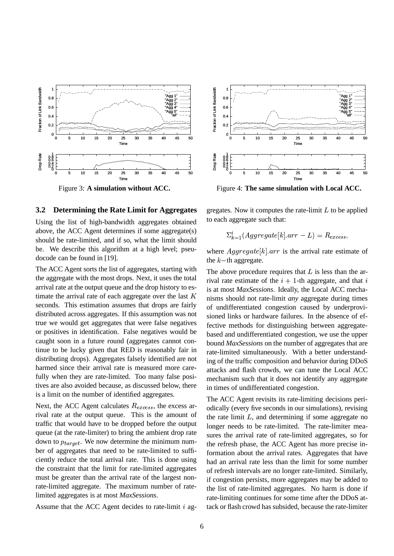

Figure 3: **A simulation without ACC.**

#### **3.2 Determining the Rate Limit for Aggregates**

Using the list of high-bandwidth aggregates obtained above, the ACC Agent determines if some aggregate(s) should be rate-limited, and if so, what the limit should be. We describe this algorithm at a high level; pseudocode can be found in [19].

The ACC Agent sorts the list of aggregates, starting with the aggregate with the most drops. Next, it uses the total arrival rate at the output queue and the drop history to estimate the arrival rate of each aggregate over the last  $K$ seconds. This estimation assumes that drops are fairly distributed across aggregates. If this assumption was not true we would get aggregates that were false negatives or positives in identification. False negatives would be caught soon in a future round (aggregates cannot continue to be lucky given that RED is reasonably fair in distributing drops). Aggregates falsely identified are not harmed since their arrival rate is measured more carefully when they are rate-limited. Too many false positives are also avoided because, as discussed below, there is a limit on the number of identified aggregates.

Next, the ACC Agent calculates  $R_{excess}$ , the excess arrival rate at the output queue. This is the amount of traffic that would have to be dropped before the output queue (at the rate-limiter) to bring the ambient drop rate down to  $p_{tar\,get}$ . We now determine the minimum number of aggregates that need to be rate-limited to sufficiently reduce the total arrival rate. This is done using the constraint that the limit for rate-limited aggregates must be greater than the arrival rate of the largest nonrate-limited aggregate. The maximum number of ratelimited aggregates is at most *MaxSessions*.

Assume that the ACC Agent decides to rate-limit  $i$  ag-



Figure 4: **The same simulation with Local ACC.**

gregates. Now it computes the rate-limit  $L$  to be applied to each aggregate such that:

$$
\Sigma_{k=1}^{i}(Aggregate[k].arr - L) = R_{excess},
$$

where  $Aggregate[k].arr$  is the arrival rate estimate of the  $k$ -th aggregate.

The above procedure requires that  $L$  is less than the arrival rate estimate of the  $i + 1$ -th aggregate, and that i is at most *MaxSessions*. Ideally, the Local ACC mechanisms should not rate-limit *any* aggregate during times of undifferentiated congestion caused by underprovisioned links or hardware failures. In the absence of effective methods for distinguishing between aggregatebased and undifferentiated congestion, we use the upper bound *MaxSessions* on the number of aggregates that are rate-limited simultaneously. With a better understanding of the traffic composition and behavior during DDoS attacks and flash crowds, we can tune the Local ACC mechanism such that it does not identify any aggregate in times of undifferentiated congestion.

The ACC Agent revisits its rate-limiting decisions periodically (every five seconds in our simulations), revising the rate limit  $L$ , and determining if some aggregate no longer needs to be rate-limited. The rate-limiter measures the arrival rate of rate-limited aggregates, so for the refresh phase, the ACC Agent has more precise information about the arrival rates. Aggregates that have had an arrival rate less than the limit for some number of refresh intervals are no longer rate-limited. Similarly, if congestion persists, more aggregates may be added to the list of rate-limited aggregates. No harm is done if rate-limiting continues for some time after the DDoS attack or flash crowd has subsided, because the rate-limiter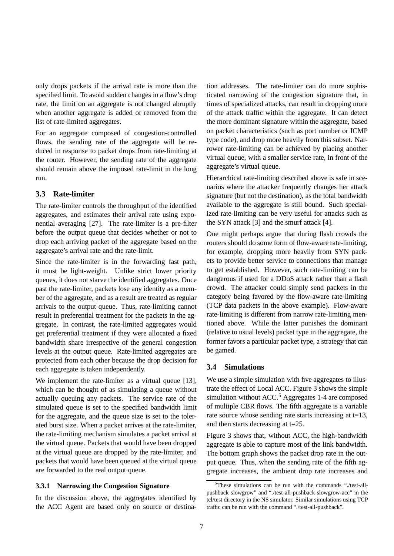only drops packets if the arrival rate is more than the specified limit. To avoid sudden changes in a flow's drop rate, the limit on an aggregate is not changed abruptly when another aggregate is added or removed from the list of rate-limited aggregates.

For an aggregate composed of congestion-controlled flows, the sending rate of the aggregate will be reduced in response to packet drops from rate-limiting at the router. However, the sending rate of the aggregate should remain above the imposed rate-limit in the long run.

# **3.3 Rate-limiter**

The rate-limiter controls the throughput of the identified aggregates, and estimates their arrival rate using exponential averaging [27]. The rate-limiter is a pre-filter before the output queue that decides whether or not to drop each arriving packet of the aggregate based on the aggregate's arrival rate and the rate-limit.

Since the rate-limiter is in the forwarding fast path, it must be light-weight. Unlike strict lower priority queues, it does not starve the identified aggregates. Once past the rate-limiter, packets lose any identity as a member of the aggregate, and as a result are treated as regular arrivals to the output queue. Thus, rate-limiting cannot result in preferential treatment for the packets in the aggregate. In contrast, the rate-limited aggregates would get preferential treatment if they were allocated a fixed bandwidth share irrespective of the general congestion levels at the output queue. Rate-limited aggregates are protected from each other because the drop decision for each aggregate is taken independently.

We implement the rate-limiter as a virtual queue [13], which can be thought of as simulating a queue without actually queuing any packets. The service rate of the simulated queue is set to the specified bandwidth limit for the aggregate, and the queue size is set to the tolerated burst size. When a packet arrives at the rate-limiter, the rate-limiting mechanism simulates a packet arrival at the virtual queue. Packets that would have been dropped at the virtual queue are dropped by the rate-limiter, and packets that would have been queued at the virtual queue are forwarded to the real output queue.

#### **3.3.1 Narrowing the Congestion Signature**

In the discussion above, the aggregates identified by the ACC Agent are based only on source or destination addresses. The rate-limiter can do more sophisticated narrowing of the congestion signature that, in times of specialized attacks, can result in dropping more of the attack traffic within the aggregate. It can detect the more dominant signature within the aggregate, based on packet characteristics (such as port number or ICMP type code), and drop more heavily from this subset. Narrower rate-limiting can be achieved by placing another virtual queue, with a smaller service rate, in front of the aggregate's virtual queue.

Hierarchical rate-limiting described above is safe in scenarios where the attacker frequently changes her attack signature (but not the destination), as the total bandwidth available to the aggregate is still bound. Such specialized rate-limiting can be very useful for attacks such as the SYN attack [3] and the smurf attack [4].

One might perhaps argue that during flash crowds the routers should do some form of flow-aware rate-limiting, for example, dropping more heavily from SYN packets to provide better service to connections that manage to get established. However, such rate-limiting can be dangerous if used for a DDoS attack rather than a flash crowd. The attacker could simply send packets in the category being favored by the flow-aware rate-limiting (TCP data packets in the above example). Flow-aware rate-limiting is different from narrow rate-limiting mentioned above. While the latter punishes the dominant (relative to usual levels) packet type in the aggregate, the former favors a particular packet type, a strategy that can be gamed.

#### **3.4 Simulations**

We use a simple simulation with five aggregates to illustrate the effect of Local ACC. Figure 3 shows the simple simulation without  $ACC<sup>5</sup> Aggregates 1-4$  are composed of multiple CBR flows. The fifth aggregate is a variable rate source whose sending rate starts increasing at t=13, and then starts decreasing at t=25.

Figure 3 shows that, without ACC, the high-bandwidth aggregate is able to capture most of the link bandwidth. The bottom graph shows the packet drop rate in the output queue. Thus, when the sending rate of the fifth aggregate increases, the ambient drop rate increases and

<sup>&</sup>lt;sup>5</sup>These simulations can be run with the commands "./test-allpushback slowgrow" and "./test-all-pushback slowgrow-acc" in the tcl/test directory in the NS simulator. Similar simulations using TCP traffic can be run with the command "./test-all-pushback".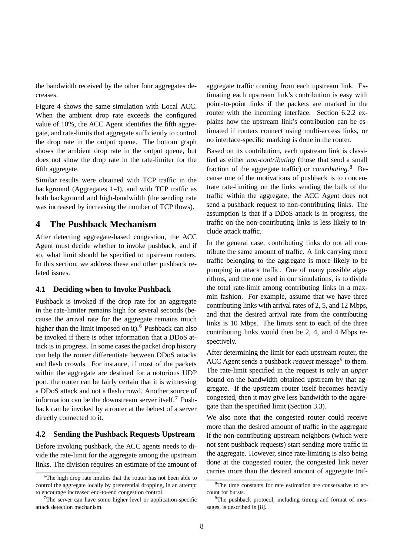the bandwidth received by the other four aggregates decreases.

Figure 4 shows the same simulation with Local ACC. When the ambient drop rate exceeds the configured value of 10%, the ACC Agent identifies the fifth aggregate, and rate-limits that aggregate sufficiently to control the drop rate in the output queue. The bottom graph shows the ambient drop rate in the output queue, but does not show the drop rate in the rate-limiter for the fifth aggregate.

Similar results were obtained with TCP traffic in the background (Aggregates 1-4), and with TCP traffic as both background and high-bandwidth (the sending rate was increased by increasing the number of TCP flows).

# **4 The Pushback Mechanism**

After detecting aggregate-based congestion, the ACC Agent must decide whether to invoke pushback, and if so, what limit should be specified to upstream routers. In this section, we address these and other pushback related issues.

### **4.1 Deciding when to Invoke Pushback**

Pushback is invoked if the drop rate for an aggregate in the rate-limiter remains high for several seconds (because the arrival rate for the aggregate remains much higher than the limit imposed on it).<sup>6</sup> Pushback can also be invoked if there is other information that a DDoS attack is in progress. In some cases the packet drop history can help the router differentiate between DDoS attacks and flash crowds. For instance, if most of the packets within the aggregate are destined for a notorious UDP port, the router can be fairly certain that it is witnessing a DDoS attack and not a flash crowd. Another source of information can be the downstream server itself.<sup>7</sup> Pushback can be invoked by a router at the behest of a server directly connected to it.

## **4.2 Sending the Pushback Requests Upstream**

Before invoking pushback, the ACC agents needs to divide the rate-limit for the aggregate among the upstream links. The division requires an estimate of the amount of aggregate traffic coming from each upstream link. Estimating each upstream link's contribution is easy with point-to-point links if the packets are marked in the router with the incoming interface. Section 6.2.2 explains how the upstream link's contribution can be estimated if routers connect using multi-access links, or no interface-specific marking is done in the router.

Based on its contribution, each upstream link is classified as either *non-contributing* (those that send a small fraction of the aggregate traffic) or *contributing*. <sup>8</sup> Because one of the motivations of pushback is to concentrate rate-limiting on the links sending the bulk of the traffic within the aggregate, the ACC Agent does not send a pushback request to non-contributing links. The assumption is that if a DDoS attack is in progress, the traffic on the non-contributing links is less likely to include attack traffic.

In the general case, contributing links do not all contribute the same amount of traffic. A link carrying more traffic belonging to the aggregate is more likely to be pumping in attack traffic. One of many possible algorithms, and the one used in our simulations, is to divide the total rate-limit among contributing links in a maxmin fashion. For example, assume that we have three contributing links with arrival rates of 2, 5, and 12 Mbps, and that the desired arrival rate from the contributing links is 10 Mbps. The limits sent to each of the three contributing links would then be 2, 4, and 4 Mbps respectively.

After determining the limit for each upstream router, the ACC Agent sends a pushback *request* message<sup>9</sup> to them. The rate-limit specified in the request is only an *upper* bound on the bandwidth obtained upstream by that aggregate. If the upstream router itself becomes heavily congested, then it may give less bandwidth to the aggregate than the specified limit (Section 3.3).

We also note that the congested router could receive more than the desired amount of traffic in the aggregate if the non-contributing upstream neighbors (which were not sent pushback requests) start sending more traffic in the aggregate. However, since rate-limiting is also being done at the congested router, the congested link never carries more than the desired amount of aggregate traf-

<sup>&</sup>lt;sup>6</sup>The high drop rate implies that the router has not been able to control the aggregate locally by preferential dropping, in an attempt to encourage increased end-to-end congestion control.

 $7$ The server can have some higher level or application-specific attack detection mechanism.

<sup>&</sup>lt;sup>8</sup>The time constants for rate estimation are conservative to account for bursts.

<sup>&</sup>lt;sup>9</sup>The pushback protocol, including timing and format of messages, is described in [8].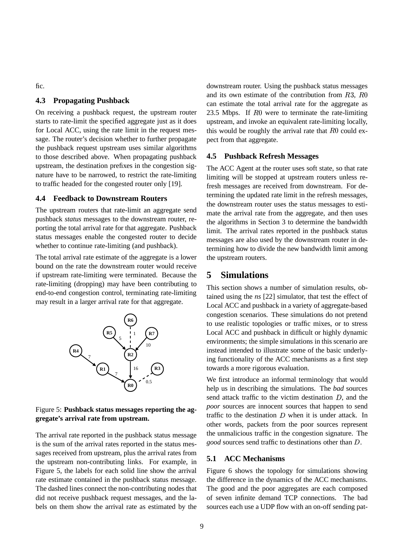fic.

# **4.3 Propagating Pushback**

On receiving a pushback request, the upstream router starts to rate-limit the specified aggregate just as it does for Local ACC, using the rate limit in the request message. The router's decision whether to further propagate the pushback request upstream uses similar algorithms to those described above. When propagating pushback upstream, the destination prefixes in the congestion signature have to be narrowed, to restrict the rate-limiting to traffic headed for the congested router only [19].

## **4.4 Feedback to Downstream Routers**

The upstream routers that rate-limit an aggregate send pushback *status* messages to the downstream router, reporting the total arrival rate for that aggregate. Pushback status messages enable the congested router to decide whether to continue rate-limiting (and pushback).

The total arrival rate estimate of the aggregate is a lower bound on the rate the downstream router would receive if upstream rate-limiting were terminated. Because the rate-limiting (dropping) may have been contributing to end-to-end congestion control, terminating rate-limiting may result in a larger arrival rate for that aggregate.



#### Figure 5: **Pushback status messages reporting the aggregate's arrival rate from upstream.**

The arrival rate reported in the pushback status message is the sum of the arrival rates reported in the status messages received from upstream, plus the arrival rates from the upstream non-contributing links. For example, in Figure 5, the labels for each solid line show the arrival rate estimate contained in the pushback status message. The dashed lines connect the non-contributing nodes that did not receive pushback request messages, and the labels on them show the arrival rate as estimated by the downstream router. Using the pushback status messages and its own estimate of the contribution from  $R3, R0$ can estimate the total arrival rate for the aggregate as 23.5 Mbps. If  $R0$  were to terminate the rate-limiting upstream, and invoke an equivalent rate-limiting locally, this would be roughly the arrival rate that  $R0$  could expect from that aggregate.

## **4.5 Pushback Refresh Messages**

The ACC Agent at the router uses soft state, so that rate limiting will be stopped at upstream routers unless refresh messages are received from downstream. For determining the updated rate limit in the refresh messages, the downstream router uses the status messages to estimate the arrival rate from the aggregate, and then uses the algorithms in Section 3 to determine the bandwidth limit. The arrival rates reported in the pushback status messages are also used by the downstream router in determining how to divide the new bandwidth limit among the upstream routers.

# **5 Simulations**

This section shows a number of simulation results, obtained using the *ns* [22] simulator, that test the effect of Local ACC and pushback in a variety of aggregate-based congestion scenarios. These simulations do not pretend to use realistic topologies or traffic mixes, or to stress Local ACC and pushback in difficult or highly dynamic environments; the simple simulations in this scenario are instead intended to illustrate some of the basic underlying functionality of the ACC mechanisms as a first step towards a more rigorous evaluation.

We first introduce an informal terminology that would help us in describing the simulations. The *bad* sources send attack traffic to the victim destination  $D$ , and the *poor* sources are innocent sources that happen to send traffic to the destination  $D$  when it is under attack. In other words, packets from the poor sources represent the unmalicious traffic in the congestion signature. The *good* sources send traffic to destinations other than D.

# **5.1 ACC Mechanisms**

Figure 6 shows the topology for simulations showing the difference in the dynamics of the ACC mechanisms. The good and the poor aggregates are each composed of seven infinite demand TCP connections. The bad sources each use a UDP flow with an on-off sending pat-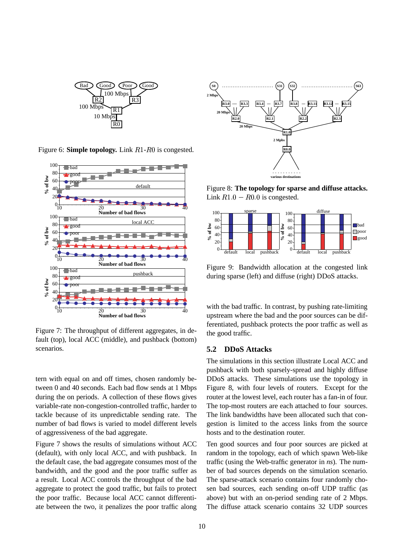

Figure 6: **Simple topology.** Link R1-R0 is congested.



Figure 7: The throughput of different aggregates, in default (top), local ACC (middle), and pushback (bottom) scenarios.

tern with equal on and off times, chosen randomly between 0 and 40 seconds. Each bad flow sends at 1 Mbps during the on periods. A collection of these flows gives variable-rate non-congestion-controlled traffic, harder to tackle because of its unpredictable sending rate. The number of bad flows is varied to model different levels of aggressiveness of the bad aggregate.

Figure 7 shows the results of simulations without ACC (default), with only local ACC, and with pushback. In the default case, the bad aggregate consumes most of the bandwidth, and the good and the poor traffic suffer as a result. Local ACC controls the throughput of the bad aggregate to protect the good traffic, but fails to protect the poor traffic. Because local ACC cannot differentiate between the two, it penalizes the poor traffic along



Figure 8: **The topology for sparse and diffuse attacks.** Link  $R1.0 - R0.0$  is congested.



Figure 9: Bandwidth allocation at the congested link during sparse (left) and diffuse (right) DDoS attacks.

with the bad traffic. In contrast, by pushing rate-limiting upstream where the bad and the poor sources can be differentiated, pushback protects the poor traffic as well as the good traffic.

## **5.2 DDoS Attacks**

The simulations in this section illustrate Local ACC and pushback with both sparsely-spread and highly diffuse DDoS attacks. These simulations use the topology in Figure 8, with four levels of routers. Except for the router at the lowest level, each router has a fan-in of four. The top-most routers are each attached to four sources. The link bandwidths have been allocated such that congestion is limited to the access links from the source hosts and to the destination router.

Ten good sources and four poor sources are picked at random in the topology, each of which spawn Web-like traffic (using the Web-traffic generator in *ns*). The number of bad sources depends on the simulation scenario. The sparse-attack scenario contains four randomly chosen bad sources, each sending on-off UDP traffic (as above) but with an on-period sending rate of 2 Mbps. The diffuse attack scenario contains 32 UDP sources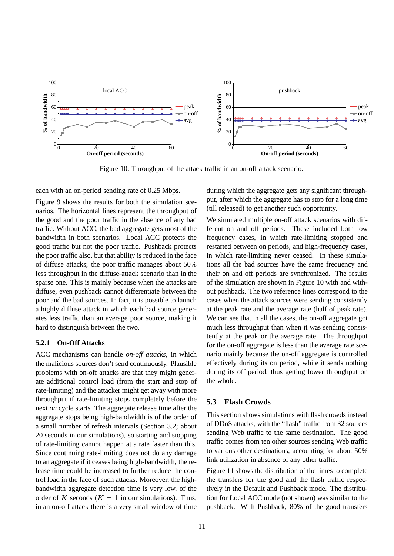

Figure 10: Throughput of the attack traffic in an on-off attack scenario.

each with an on-period sending rate of 0.25 Mbps.

Figure 9 shows the results for both the simulation scenarios. The horizontal lines represent the throughput of the good and the poor traffic in the absence of any bad traffic. Without ACC, the bad aggregate gets most of the bandwidth in both scenarios. Local ACC protects the good traffic but not the poor traffic. Pushback protects the poor traffic also, but that ability is reduced in the face of diffuse attacks; the poor traffic manages about 50% less throughput in the diffuse-attack scenario than in the sparse one. This is mainly because when the attacks are diffuse, even pushback cannot differentiate between the poor and the bad sources. In fact, it is possible to launch a highly diffuse attack in which each bad source generates less traffic than an average poor source, making it hard to distinguish between the two.

#### **5.2.1 On-Off Attacks**

ACC mechanisms can handle *on-off attacks*, in which the malicious sources don't send continuously. Plausible problems with on-off attacks are that they might generate additional control load (from the start and stop of rate-limiting) and the attacker might get away with more throughput if rate-limiting stops completely before the next *on* cycle starts. The aggregate release time after the aggregate stops being high-bandwidth is of the order of a small number of refresh intervals (Section 3.2; about 20 seconds in our simulations), so starting and stopping of rate-limiting cannot happen at a rate faster than this. Since continuing rate-limiting does not do any damage to an aggregate if it ceases being high-bandwidth, the release time could be increased to further reduce the control load in the face of such attacks. Moreover, the highbandwidth aggregate detection time is very low, of the order of K seconds ( $K = 1$  in our simulations). Thus, in an on-off attack there is a very small window of time during which the aggregate gets any significant throughput, after which the aggregate has to stop for a long time (till released) to get another such opportunity.

We simulated multiple on-off attack scenarios with different on and off periods. These included both low frequency cases, in which rate-limiting stopped and restarted between on periods, and high-frequency cases, in which rate-limiting never ceased. In these simulations all the bad sources have the same frequency and their on and off periods are synchronized. The results of the simulation are shown in Figure 10 with and without pushback. The two reference lines correspond to the cases when the attack sources were sending consistently at the peak rate and the average rate (half of peak rate). We can see that in all the cases, the on-off aggregate got much less throughput than when it was sending consistently at the peak or the average rate. The throughput for the on-off aggregate is less than the average rate scenario mainly because the on-off aggregate is controlled effectively during its on period, while it sends nothing during its off period, thus getting lower throughput on the whole.

## **5.3 Flash Crowds**

This section shows simulations with flash crowds instead of DDoS attacks, with the "flash" traffic from 32 sources sending Web traffic to the same destination. The good traffic comes from ten other sources sending Web traffic to various other destinations, accounting for about 50% link utilization in absence of any other traffic.

Figure 11 shows the distribution of the times to complete the transfers for the good and the flash traffic respectively in the Default and Pushback mode. The distribution for Local ACC mode (not shown) was similar to the pushback. With Pushback, 80% of the good transfers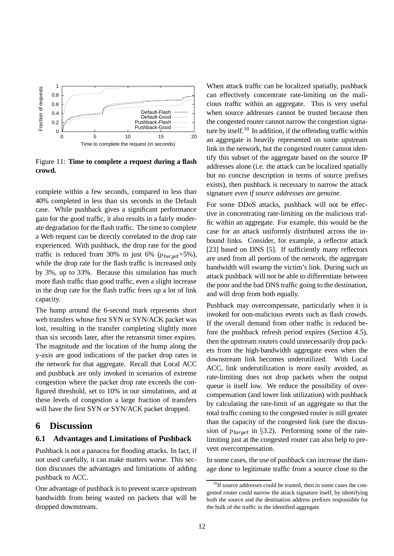

Figure 11: **Time to complete a request during a flash crowd.**

complete within a few seconds, compared to less than 40% completed in less than six seconds in the Default case. While pushback gives a significant performance gain for the good traffic, it also results in a fairly moderate degradation for the flash traffic. The time to complete a Web request can be directly correlated to the drop rate experienced. With pushback, the drop rate for the good traffic is reduced from 30% to just 6% ( $p_{tar\,get}$ =5%), while the drop rate for the flash traffic is increased only by 3%, up to 33%. Because this simulation has much more flash traffic than good traffic, even a slight increase in the drop rate for the flash traffic frees up a lot of link capacity.

The hump around the 6-second mark represents short web transfers whose first SYN or SYN/ACK packet was lost, resulting in the transfer completing slightly more than six seconds later, after the retransmit timer expires. The magnitude and the location of the hump along the y-axis are good indications of the packet drop rates in the network for that aggregate. Recall that Local ACC and pushback are only invoked in scenarios of extreme congestion where the packet drop rate exceeds the configured threshold, set to 10% in our simulations, and at these levels of congestion a large fraction of transfers will have the first SYN or SYN/ACK packet dropped.

# **6 Discussion**

### **6.1 Advantages and Limitations of Pushback**

Pushback is not a panacea for flooding attacks. In fact, if not used carefully, it can make matters worse. This section discusses the advantages and limitations of adding pushback to ACC.

One advantage of pushback is to prevent scarce upstream bandwidth from being wasted on packets that will be dropped downstream.

When attack traffic can be localized spatially, pushback can effectively concentrate rate-limiting on the malicious traffic within an aggregate. This is very useful when source addresses cannot be trusted because then the congested router cannot narrow the congestion signature by itself.<sup>10</sup> In addition, if the offending traffic within an aggregate is heavily represented on some upstream link in the network, but the congested router cannot identify this subset of the aggregate based on the source IP addresses alone (i.e. the attack can be localized spatially but no concise description in terms of source prefixes exists), then pushback is necessary to narrow the attack signature *even if source addresses are genuine*.

For some DDoS attacks, pushback will not be effective in concentrating rate-limiting on the malicious traffic within an aggregate. For example, this would be the case for an attack uniformly distributed across the inbound links. Consider, for example, a reflector attack [23] based on DNS [5]. If sufficiently many reflectors are used from all portions of the network, the aggregate bandwidth will swamp the victim's link. During such an attack pushback will not be able to differentiate between the poor and the bad DNS traffic going to the destination, and will drop from both equally.

Pushback may overcompensate, particularly when it is invoked for non-malicious events such as flash crowds. If the overall demand from other traffic is reduced before the pushback refresh period expires (Section 4.5), then the upstream routers could unnecessarily drop packets from the high-bandwidth aggregate even when the downstream link becomes underutilized. With Local ACC, link underutilization is more easily avoided, as rate-limiting does not drop packets when the output queue is itself low. We reduce the possibility of overcompensation (and lower link utilization) with pushback by calculating the rate-limit of an aggregate so that the total traffic coming to the congested router is still greater than the capacity of the congested link (see the discussion of  $p_{target}$  in §3.2). Performing some of the ratelimiting just at the congested router can also help to prevent overcompensation.

In some cases, the use of pushback can increase the damage done to legitimate traffic from a source close to the

<sup>&</sup>lt;sup>10</sup>If source addresses could be trusted, then in some cases the congested router could narrow the attack signature itself, by identifying both the source and the destination address prefixes responsible for the bulk of the traffic in the identified aggregate.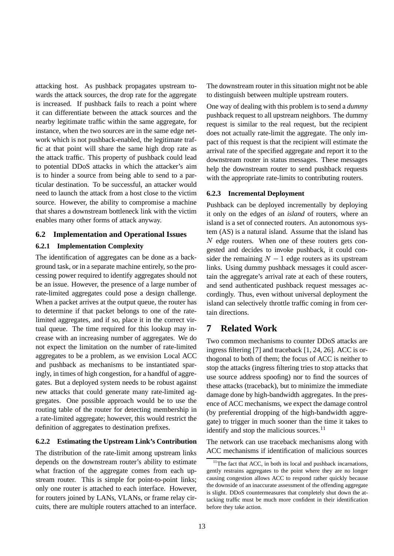attacking host. As pushback propagates upstream towards the attack sources, the drop rate for the aggregate is increased. If pushback fails to reach a point where it can differentiate between the attack sources and the nearby legitimate traffic within the same aggregate, for instance, when the two sources are in the same edge network which is not pushback-enabled, the legitimate traffic at that point will share the same high drop rate as the attack traffic. This property of pushback could lead to potential DDoS attacks in which the attacker's aim is to hinder a source from being able to send to a particular destination. To be successful, an attacker would need to launch the attack from a host close to the victim source. However, the ability to compromise a machine that shares a downstream bottleneck link with the victim enables many other forms of attack anyway.

# **6.2 Implementation and Operational Issues**

## **6.2.1 Implementation Complexity**

The identification of aggregates can be done as a background task, or in a separate machine entirely, so the processing power required to identify aggregates should not be an issue. However, the presence of a large number of rate-limited aggregates could pose a design challenge. When a packet arrives at the output queue, the router has to determine if that packet belongs to one of the ratelimited aggregates, and if so, place it in the correct virtual queue. The time required for this lookup may increase with an increasing number of aggregates. We do not expect the limitation on the number of rate-limited aggregates to be a problem, as we envision Local ACC and pushback as mechanisms to be instantiated sparingly, in times of high congestion, for a handful of aggregates. But a deployed system needs to be robust against new attacks that could generate many rate-limited aggregates. One possible approach would be to use the routing table of the router for detecting membership in a rate-limited aggregate; however, this would restrict the definition of aggregates to destination prefixes.

## **6.2.2 Estimating the Upstream Link's Contribution**

The distribution of the rate-limit among upstream links depends on the downstream router's ability to estimate what fraction of the aggregate comes from each upstream router. This is simple for point-to-point links; only one router is attached to each interface. However, for routers joined by LANs, VLANs, or frame relay circuits, there are multiple routers attached to an interface. The downstream router in this situation might not be able to distinguish between multiple upstream routers.

One way of dealing with this problem is to send a *dummy* pushback request to all upstream neighbors. The dummy request is similar to the real request, but the recipient does not actually rate-limit the aggregate. The only impact of this request is that the recipient will estimate the arrival rate of the specified aggregate and report it to the downstream router in status messages. These messages help the downstream router to send pushback requests with the appropriate rate-limits to contributing routers.

#### **6.2.3 Incremental Deployment**

Pushback can be deployed incrementally by deploying it only on the edges of an *island* of routers, where an island is a set of connected routers. An autonomous system (AS) is a natural island. Assume that the island has  $N$  edge routers. When one of these routers gets congested and decides to invoke pushback, it could consider the remaining  $N - 1$  edge routers as its upstream links. Using dummy pushback messages it could ascertain the aggregate's arrival rate at each of these routers, and send authenticated pushback request messages accordingly. Thus, even without universal deployment the island can selectively throttle traffic coming in from certain directions.

# **7 Related Work**

Two common mechanisms to counter DDoS attacks are ingress filtering [7] and traceback [1, 24, 26]. ACC is orthogonal to both of them; the focus of ACC is neither to stop the attacks (ingress filtering tries to stop attacks that use source address spoofing) nor to find the sources of these attacks (traceback), but to minimize the immediate damage done by high-bandwidth aggregates. In the presence of ACC mechanisms, we expect the damage control (by preferential dropping of the high-bandwidth aggregate) to trigger in much sooner than the time it takes to identify and stop the malicious sources.<sup>11</sup>

The network can use traceback mechanisms along with ACC mechanisms if identification of malicious sources

 $11$ <sup>The fact that ACC, in both its local and pushback incarnations,</sup> gently restrains aggregates to the point where they are no longer causing congestion allows ACC to respond rather quickly because the downside of an inaccurate assessment of the offending aggregate is slight. DDoS countermeasures that completely shut down the attacking traffic must be much more confident in their identification before they take action.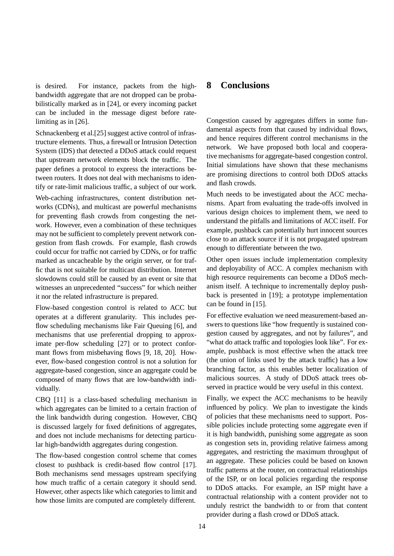is desired. For instance, packets from the highbandwidth aggregate that are not dropped can be probabilistically marked as in [24], or every incoming packet can be included in the message digest before ratelimiting as in [26].

Schnackenberg et al.[25] suggest active control of infrastructure elements. Thus, a firewall or Intrusion Detection System (IDS) that detected a DDoS attack could request that upstream network elements block the traffic. The paper defines a protocol to express the interactions between routers. It does not deal with mechanisms to identify or rate-limit malicious traffic, a subject of our work.

Web-caching infrastructures, content distribution networks (CDNs), and multicast are powerful mechanisms for preventing flash crowds from congesting the network. However, even a combination of these techniques may not be sufficient to completely prevent network congestion from flash crowds. For example, flash crowds could occur for traffic not carried by CDNs, or for traffic marked as uncacheable by the origin server, or for traffic that is not suitable for multicast distribution. Internet slowdowns could still be caused by an event or site that witnesses an unprecedented "success" for which neither it nor the related infrastructure is prepared.

Flow-based congestion control is related to ACC but operates at a different granularity. This includes perflow scheduling mechanisms like Fair Queuing [6], and mechanisms that use preferential dropping to approximate per-flow scheduling [27] or to protect conformant flows from misbehaving flows [9, 18, 20]. However, flow-based congestion control is not a solution for aggregate-based congestion, since an aggregate could be composed of many flows that are low-bandwidth individually.

CBQ [11] is a class-based scheduling mechanism in which aggregates can be limited to a certain fraction of the link bandwidth during congestion. However, CBQ is discussed largely for fixed definitions of aggregates, and does not include mechanisms for detecting particular high-bandwidth aggregates during congestion.

The flow-based congestion control scheme that comes closest to pushback is credit-based flow control [17]. Both mechanisms send messages upstream specifying how much traffic of a certain category it should send. However, other aspects like which categories to limit and how those limits are computed are completely different.

# **8 Conclusions**

Congestion caused by aggregates differs in some fundamental aspects from that caused by individual flows, and hence requires different control mechanisms in the network. We have proposed both local and cooperative mechanisms for aggregate-based congestion control. Initial simulations have shown that these mechanisms are promising directions to control both DDoS attacks and flash crowds.

Much needs to be investigated about the ACC mechanisms. Apart from evaluating the trade-offs involved in various design choices to implement them, we need to understand the pitfalls and limitations of ACC itself. For example, pushback can potentially hurt innocent sources close to an attack source if it is not propagated upstream enough to differentiate between the two.

Other open issues include implementation complexity and deployability of ACC. A complex mechanism with high resource requirements can become a DDoS mechanism itself. A technique to incrementally deploy pushback is presented in [19]; a prototype implementation can be found in [15].

For effective evaluation we need measurement-based answers to questions like "how frequently is sustained congestion caused by aggregates, and not by failures", and "what do attack traffic and topologies look like". For example, pushback is most effective when the attack tree (the union of links used by the attack traffic) has a low branching factor, as this enables better localization of malicious sources. A study of DDoS attack trees observed in practice would be very useful in this context.

Finally, we expect the ACC mechanisms to be heavily influenced by policy. We plan to investigate the kinds of policies that these mechanisms need to support. Possible policies include protecting some aggregate even if it is high bandwidth, punishing some aggregate as soon as congestion sets in, providing relative fairness among aggregates, and restricting the maximum throughput of an aggregate. These policies could be based on known traffic patterns at the router, on contractual relationships of the ISP, or on local policies regarding the response to DDoS attacks. For example, an ISP might have a contractual relationship with a content provider not to unduly restrict the bandwidth to or from that content provider during a flash crowd or DDoS attack.